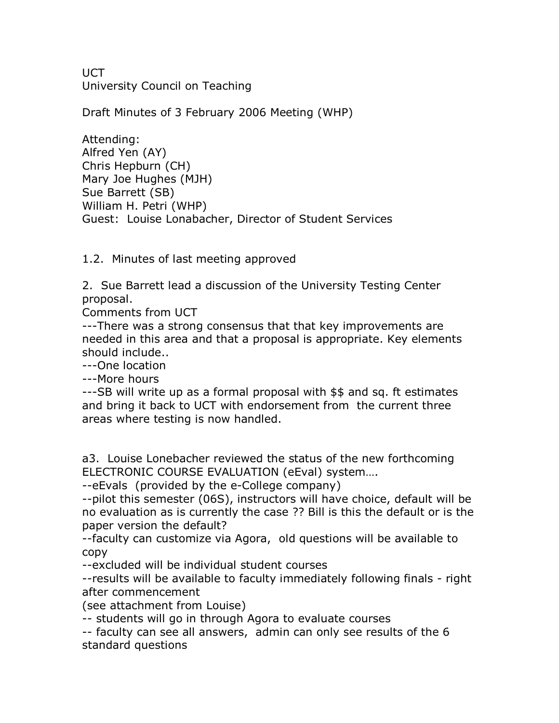**UCT** University Council on Teaching

Draft Minutes of 3 February 2006 Meeting (WHP)

Attending: Alfred Yen (AY) Chris Hepburn (CH) Mary Joe Hughes (MJH) Sue Barrett (SB) William H. Petri (WHP) Guest: Louise Lonabacher, Director of Student Services

1.2. Minutes of last meeting approved

2. Sue Barrett lead a discussion of the University Testing Center proposal.

Comments from UCT

---There was a strong consensus that that key improvements are needed in this area and that a proposal is appropriate. Key elements should include..

---One location

---More hours

---SB will write up as a formal proposal with \$\$ and sq. ft estimates and bring it back to UCT with endorsement from the current three areas where testing is now handled.

a3. Louise Lonebacher reviewed the status of the new forthcoming ELECTRONIC COURSE EVALUATION (eEval) system….

--eEvals (provided by the e-College company)

--pilot this semester (06S), instructors will have choice, default will be no evaluation as is currently the case ?? Bill is this the default or is the paper version the default?

faculty can customize via Agora, old questions will be available to copy

--excluded will be individual student courses

--results will be available to faculty immediately following finals - right after commencement

(see attachment from Louise)

-- students will go in through Agora to evaluate courses

 faculty can see all answers, admin can only see results of the 6 standard questions